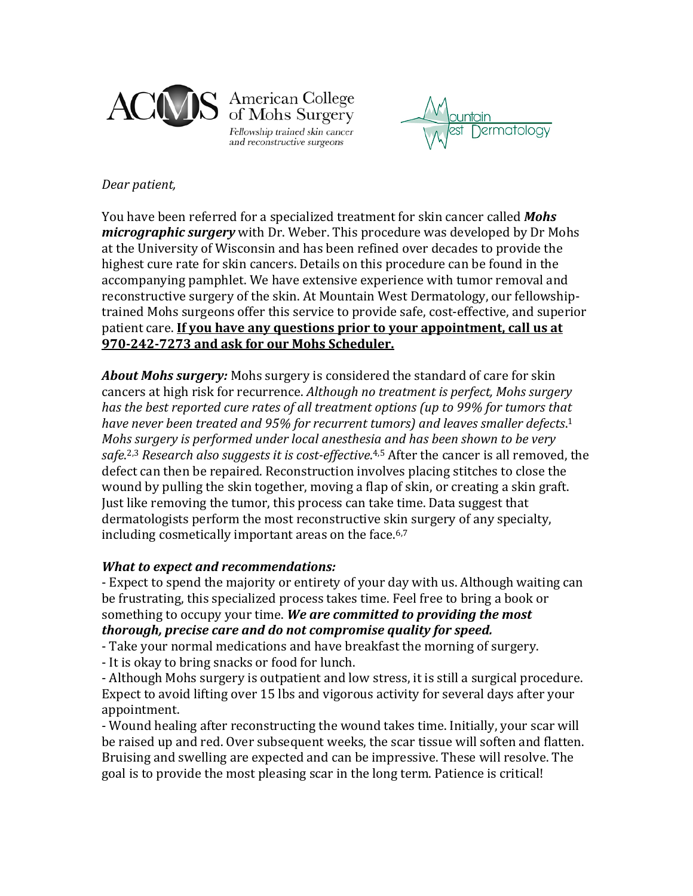

American College of Mohs Surgery Fellowship trained skin cancer and reconstructive surgeons

vermatology

## *Dear patient,*

You have been referred for a specialized treatment for skin cancer called *Mohs micrographic surgery* with Dr. Weber. This procedure was developed by Dr Mohs at the University of Wisconsin and has been refined over decades to provide the highest cure rate for skin cancers. Details on this procedure can be found in the accompanying pamphlet. We have extensive experience with tumor removal and reconstructive surgery of the skin. At Mountain West Dermatology, our fellowshiptrained Mohs surgeons offer this service to provide safe, cost-effective, and superior patient care. **If you have any questions prior to your appointment, call us at 970-242-7273 and ask for our Mohs Scheduler.**

*About Mohs surgery:* Mohs surgery is considered the standard of care for skin cancers at high risk for recurrence. *Although no treatment is perfect, Mohs surgery has the best reported cure rates of all treatment options (up to 99% for tumors that have never been treated and 95% for recurrent tumors) and leaves smaller defects*. 1 *Mohs surgery is performed under local anesthesia and has been shown to be very safe*. 2,3 *Research also suggests it is cost-effective*. 4,5 After the cancer is all removed, the defect can then be repaired. Reconstruction involves placing stitches to close the wound by pulling the skin together, moving a flap of skin, or creating a skin graft. Just like removing the tumor, this process can take time. Data suggest that dermatologists perform the most reconstructive skin surgery of any specialty, including cosmetically important areas on the face.<sup>6,7</sup>

# *What to expect and recommendations:*

- Expect to spend the majority or entirety of your day with us. Although waiting can be frustrating, this specialized process takes time. Feel free to bring a book or something to occupy your time. *We are committed to providing the most thorough, precise care and do not compromise quality for speed.*

- Take your normal medications and have breakfast the morning of surgery.

- It is okay to bring snacks or food for lunch.

- Although Mohs surgery is outpatient and low stress, it is still a surgical procedure. Expect to avoid lifting over 15 lbs and vigorous activity for several days after your appointment.

- Wound healing after reconstructing the wound takes time. Initially, your scar will be raised up and red. Over subsequent weeks, the scar tissue will soften and flatten. Bruising and swelling are expected and can be impressive. These will resolve. The goal is to provide the most pleasing scar in the long term. Patience is critical!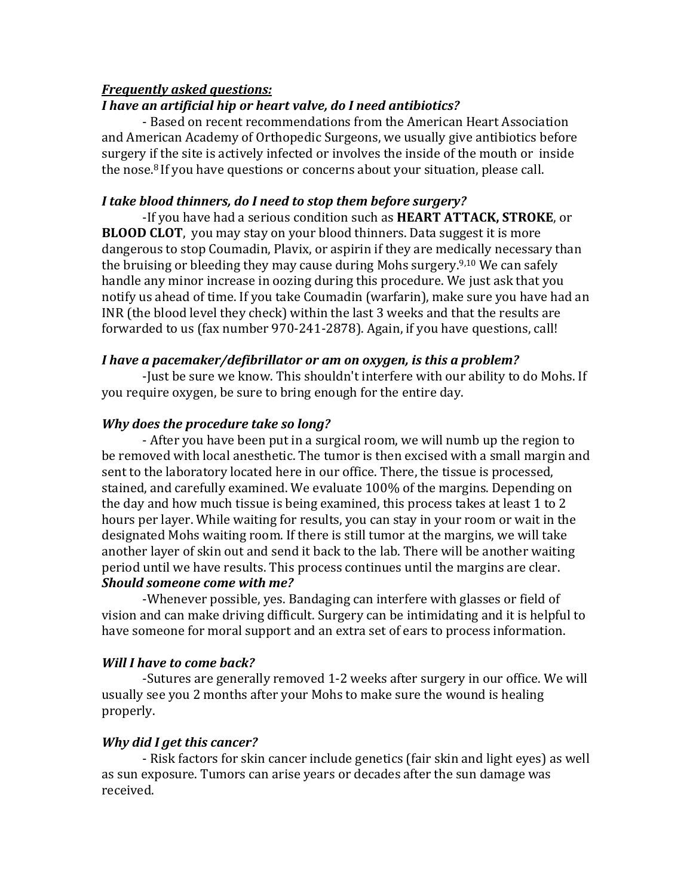## *Frequently asked questions:*

### *I have an artificial hip or heart valve, do I need antibiotics?*

- Based on recent recommendations from the American Heart Association and American Academy of Orthopedic Surgeons, we usually give antibiotics before surgery if the site is actively infected or involves the inside of the mouth or inside the nose.8 If you have questions or concerns about your situation, please call.

### *I take blood thinners, do I need to stop them before surgery?*

-If you have had a serious condition such as **HEART ATTACK, STROKE**, or **BLOOD CLOT**, you may stay on your blood thinners. Data suggest it is more dangerous to stop Coumadin, Plavix, or aspirin if they are medically necessary than the bruising or bleeding they may cause during Mohs surgery.9,10 We can safely handle any minor increase in oozing during this procedure. We just ask that you notify us ahead of time. If you take Coumadin (warfarin), make sure you have had an INR (the blood level they check) within the last 3 weeks and that the results are forwarded to us (fax number 970-241-2878). Again, if you have questions, call!

#### *I have a pacemaker/defibrillator or am on oxygen, is this a problem?*

-Just be sure we know. This shouldn't interfere with our ability to do Mohs. If you require oxygen, be sure to bring enough for the entire day.

#### *Why does the procedure take so long?*

- After you have been put in a surgical room, we will numb up the region to be removed with local anesthetic. The tumor is then excised with a small margin and sent to the laboratory located here in our office. There, the tissue is processed, stained, and carefully examined. We evaluate 100% of the margins. Depending on the day and how much tissue is being examined, this process takes at least 1 to 2 hours per layer. While waiting for results, you can stay in your room or wait in the designated Mohs waiting room. If there is still tumor at the margins, we will take another layer of skin out and send it back to the lab. There will be another waiting period until we have results. This process continues until the margins are clear. *Should someone come with me?*

-Whenever possible, yes. Bandaging can interfere with glasses or field of vision and can make driving difficult. Surgery can be intimidating and it is helpful to have someone for moral support and an extra set of ears to process information.

#### *Will I have to come back?*

-Sutures are generally removed 1-2 weeks after surgery in our office. We will usually see you 2 months after your Mohs to make sure the wound is healing properly.

## *Why did I get this cancer?*

- Risk factors for skin cancer include genetics (fair skin and light eyes) as well as sun exposure. Tumors can arise years or decades after the sun damage was received.